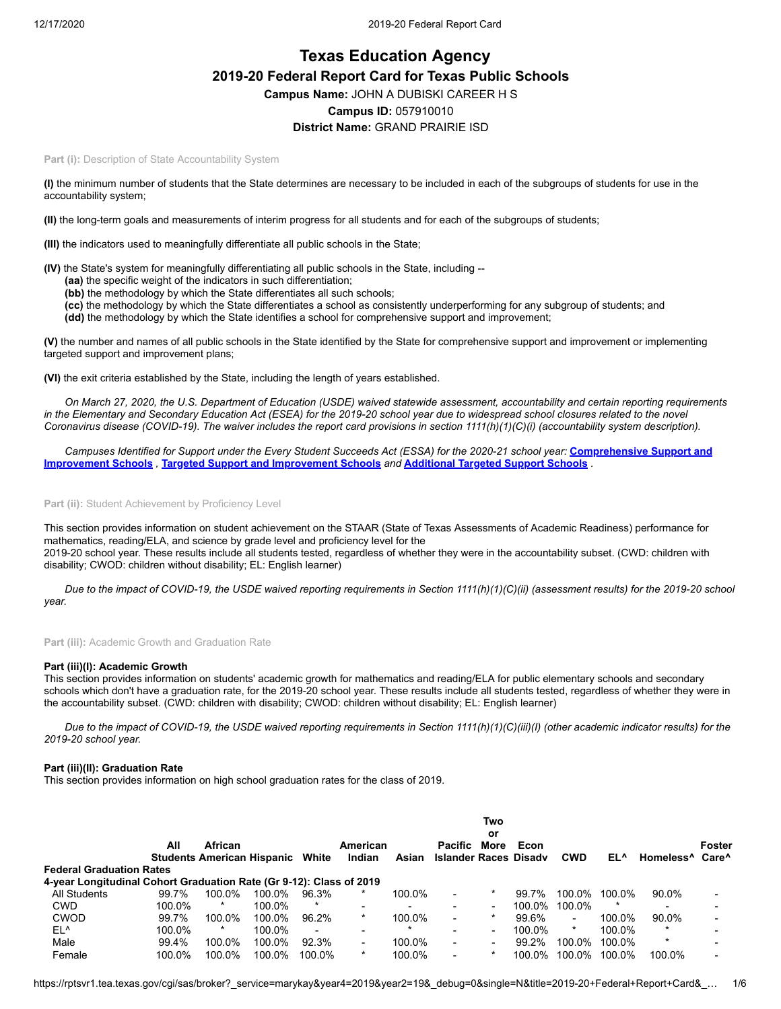# **Texas Education Agency 2019-20 Federal Report Card for Texas Public Schools Campus Name:** JOHN A DUBISKI CAREER H S **Campus ID:** 057910010 **District Name:** GRAND PRAIRIE ISD

Part (i): Description of State Accountability System

**(I)** the minimum number of students that the State determines are necessary to be included in each of the subgroups of students for use in the accountability system;

**(II)** the long-term goals and measurements of interim progress for all students and for each of the subgroups of students;

**(III)** the indicators used to meaningfully differentiate all public schools in the State;

**(IV)** the State's system for meaningfully differentiating all public schools in the State, including --

- **(aa)** the specific weight of the indicators in such differentiation;
- **(bb)** the methodology by which the State differentiates all such schools;
- **(cc)** the methodology by which the State differentiates a school as consistently underperforming for any subgroup of students; and
- **(dd)** the methodology by which the State identifies a school for comprehensive support and improvement;

**(V)** the number and names of all public schools in the State identified by the State for comprehensive support and improvement or implementing targeted support and improvement plans;

**(VI)** the exit criteria established by the State, including the length of years established.

*On March 27, 2020, the U.S. Department of Education (USDE) waived statewide assessment, accountability and certain reporting requirements in the Elementary and Secondary Education Act (ESEA) for the 2019-20 school year due to widespread school closures related to the novel Coronavirus disease (COVID-19). The waiver includes the report card provisions in section 1111(h)(1)(C)(i) (accountability system description).*

*[Campuses Identified for Support under the Every Student Succeeds Act \(ESSA\) for the 2020-21 school year:](https://tea.texas.gov/sites/default/files/comprehensive_support_2020.xlsx)* **Comprehensive Support and Improvement Schools** *,* **[Targeted Support and Improvement Schools](https://tea.texas.gov/sites/default/files/targeted_support_2020.xlsx)** *and* **[Additional Targeted Support Schools](https://tea.texas.gov/sites/default/files/additional_targeted_support_2020.xlsx)** *.*

Part (ii): Student Achievement by Proficiency Level

This section provides information on student achievement on the STAAR (State of Texas Assessments of Academic Readiness) performance for mathematics, reading/ELA, and science by grade level and proficiency level for the 2019-20 school year. These results include all students tested, regardless of whether they were in the accountability subset. (CWD: children with disability; CWOD: children without disability; EL: English learner)

*Due to the impact of COVID-19, the USDE waived reporting requirements in Section 1111(h)(1)(C)(ii) (assessment results) for the 2019-20 school year.*

**Part (iii):** Academic Growth and Graduation Rate

### **Part (iii)(I): Academic Growth**

This section provides information on students' academic growth for mathematics and reading/ELA for public elementary schools and secondary schools which don't have a graduation rate, for the 2019-20 school year. These results include all students tested, regardless of whether they were in the accountability subset. (CWD: children with disability; CWOD: children without disability; EL: English learner)

*Due to the impact of COVID-19, the USDE waived reporting requirements in Section 1111(h)(1)(C)(iii)(I) (other academic indicator results) for the 2019-20 school year.*

### **Part (iii)(II): Graduation Rate**

This section provides information on high school graduation rates for the class of 2019.

|                                                                     | All    | African<br><b>Students American Hispanic White</b> |        |                          | American<br>Indian       | Asian  | <b>Pacific</b><br><b>Islander Races Disady</b> | Two<br>or<br>More | Econ   | <b>CWD</b>               | EL^    | Homeless <sup>^</sup> Care <sup>^</sup> | Foster |
|---------------------------------------------------------------------|--------|----------------------------------------------------|--------|--------------------------|--------------------------|--------|------------------------------------------------|-------------------|--------|--------------------------|--------|-----------------------------------------|--------|
| <b>Federal Graduation Rates</b>                                     |        |                                                    |        |                          |                          |        |                                                |                   |        |                          |        |                                         |        |
| 4-year Longitudinal Cohort Graduation Rate (Gr 9-12): Class of 2019 |        |                                                    |        |                          |                          |        |                                                |                   |        |                          |        |                                         |        |
| All Students                                                        | 99.7%  | 100.0%                                             | 100.0% | 96.3%                    | $\ast$                   | 100.0% | $\overline{\phantom{a}}$                       |                   | 99.7%  | 100.0%                   | 100.0% | 90.0%                                   |        |
| <b>CWD</b>                                                          | 100.0% | *                                                  | 100.0% |                          |                          |        | $\overline{\phantom{a}}$                       | ۰.                | 100.0% | 100.0%                   | $\ast$ |                                         |        |
| <b>CWOD</b>                                                         | 99.7%  | 100.0%                                             | 100.0% | 96.2%                    | $\star$                  | 100.0% | $\overline{\phantom{a}}$                       |                   | 99.6%  | $\overline{\phantom{a}}$ | 100.0% | 90.0%                                   |        |
| EL^                                                                 | 100.0% | *                                                  | 100.0% | $\overline{\phantom{0}}$ | ۰                        |        | $\overline{\phantom{0}}$                       | ۰.                | 100.0% | *                        | 100.0% | $\star$                                 |        |
| Male                                                                | 99.4%  | 100.0%                                             | 100.0% | 92.3%                    | $\overline{\phantom{a}}$ | 100.0% | ٠                                              |                   | 99.2%  | 100.0%                   | 100.0% | $\star$                                 |        |
| Female                                                              | 100.0% | 100.0%                                             | 100.0% | 100.0%                   | $\star$                  | 100.0% | $\overline{\phantom{a}}$                       |                   | 100.0% | 100.0%                   | 100.0% | 100.0%                                  |        |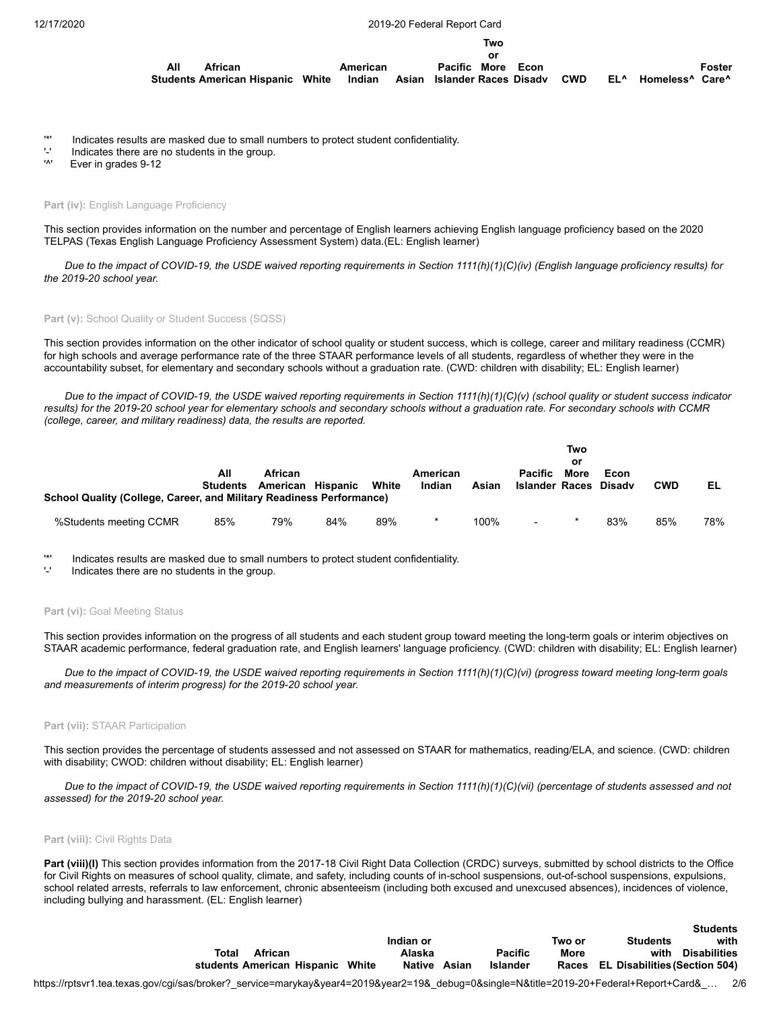12/17/2020 2019-20 Federal Report Card

|     |                                         |          | Two                                |      |            |     |                                         |        |
|-----|-----------------------------------------|----------|------------------------------------|------|------------|-----|-----------------------------------------|--------|
|     |                                         |          | o٢                                 |      |            |     |                                         |        |
| All | African                                 | American | Pacific More                       | Econ |            |     |                                         | Foster |
|     | <b>Students American Hispanic White</b> |          | Indian Asian Islander-Races Disadv |      | <b>CWD</b> | EL^ | Homeless <sup>^</sup> Care <sup>^</sup> |        |

- '\*' Indicates results are masked due to small numbers to protect student confidentiality.
- $'$ -' Indicates there are no students in the group.<br>"
- Ever in grades 9-12

### Part (iv): English Language Proficiency

This section provides information on the number and percentage of English learners achieving English language proficiency based on the 2020 TELPAS (Texas English Language Proficiency Assessment System) data.(EL: English learner)

*Due to the impact of COVID-19, the USDE waived reporting requirements in Section 1111(h)(1)(C)(iv) (English language proficiency results) for the 2019-20 school year.*

### Part (v): School Quality or Student Success (SQSS)

This section provides information on the other indicator of school quality or student success, which is college, career and military readiness (CCMR) for high schools and average performance rate of the three STAAR performance levels of all students, regardless of whether they were in the accountability subset, for elementary and secondary schools without a graduation rate. (CWD: children with disability; EL: English learner)

*Due to the impact of COVID-19, the USDE waived reporting requirements in Section 1111(h)(1)(C)(v) (school quality or student success indicator results) for the 2019-20 school year for elementary schools and secondary schools without a graduation rate. For secondary schools with CCMR (college, career, and military readiness) data, the results are reported.*

|                                                                      |                        |                              |     |       |                    |       |                                         | Two<br>or   |                |            |     |
|----------------------------------------------------------------------|------------------------|------------------------------|-----|-------|--------------------|-------|-----------------------------------------|-------------|----------------|------------|-----|
| School Quality (College, Career, and Military Readiness Performance) | All<br><b>Students</b> | African<br>American Hispanic |     | White | American<br>Indian | Asian | <b>Pacific</b><br><b>Islander Races</b> | <b>More</b> | Econ<br>Disadv | <b>CWD</b> | EL  |
| %Students meeting CCMR                                               | 85%                    | 79%                          | 84% | 89%   |                    | 100%  | $\overline{\phantom{a}}$                | $\star$     | 83%            | 85%        | 78% |

'\*' Indicates results are masked due to small numbers to protect student confidentiality.

Indicates there are no students in the group.

### Part (vi): Goal Meeting Status

This section provides information on the progress of all students and each student group toward meeting the long-term goals or interim objectives on STAAR academic performance, federal graduation rate, and English learners' language proficiency. (CWD: children with disability; EL: English learner)

*Due to the impact of COVID-19, the USDE waived reporting requirements in Section 1111(h)(1)(C)(vi) (progress toward meeting long-term goals and measurements of interim progress) for the 2019-20 school year.*

#### **Part (vii):** STAAR Participation

This section provides the percentage of students assessed and not assessed on STAAR for mathematics, reading/ELA, and science. (CWD: children with disability; CWOD: children without disability; EL: English learner)

*Due to the impact of COVID-19, the USDE waived reporting requirements in Section 1111(h)(1)(C)(vii) (percentage of students assessed and not assessed) for the 2019-20 school year.*

### **Part (viii):** Civil Rights Data

Part (viii)(I) This section provides information from the 2017-18 Civil Right Data Collection (CRDC) surveys, submitted by school districts to the Office for Civil Rights on measures of school quality, climate, and safety, including counts of in-school suspensions, out-of-school suspensions, expulsions, school related arrests, referrals to law enforcement, chronic absenteeism (including both excused and unexcused absences), incidences of violence, including bullying and harassment. (EL: English learner)

|       |         |                                  |              |                |        |                                     | ---------         |
|-------|---------|----------------------------------|--------------|----------------|--------|-------------------------------------|-------------------|
|       |         |                                  | Indian or    |                | Two or | <b>Students</b>                     | with              |
| Total | African |                                  | Alaska       | <b>Pacific</b> | More   |                                     | with Disabilities |
|       |         | students American Hispanic White | Native Asian | Islander       |        | Races EL Disabilities (Section 504) |                   |

**Students**

https://rptsvr1.tea.texas.gov/cgi/sas/broker?\_service=marykay&year4=2019&year2=19&\_debug=0&single=N&title=2019-20+Federal+Report+Card&\_… 2/6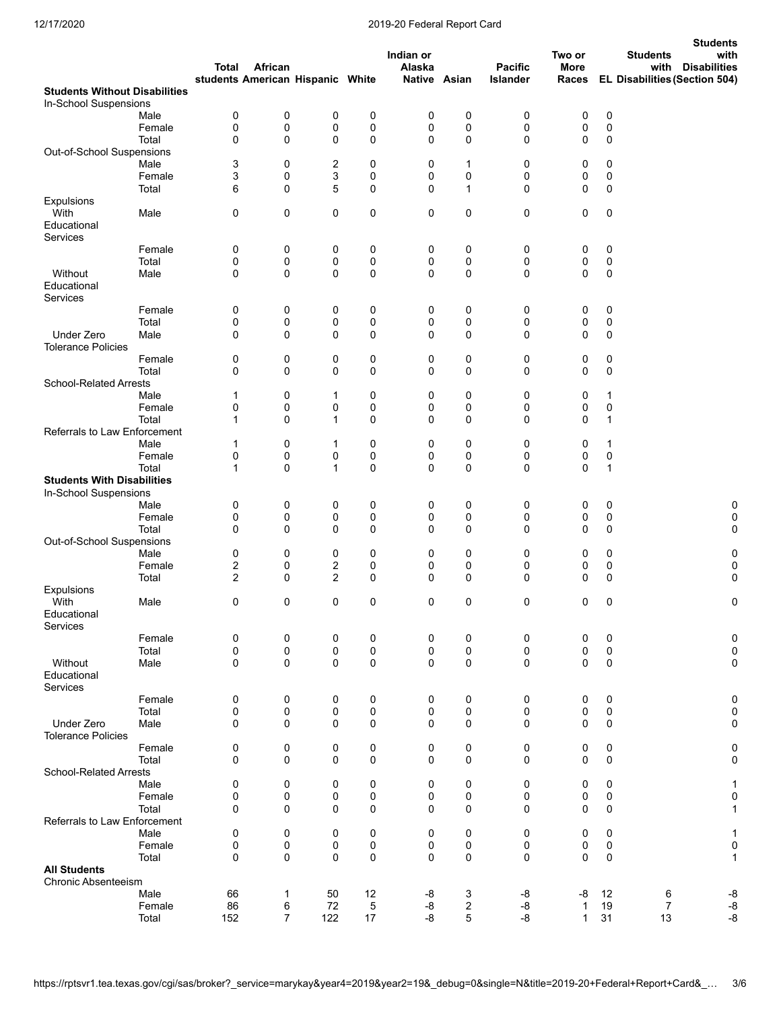# 12/17/2020 2019-20 Federal Report Card

|                                                               |        |                         |                |                                  |             |                     |              |                            |                                |                            | <b>Students</b>                                                                         |
|---------------------------------------------------------------|--------|-------------------------|----------------|----------------------------------|-------------|---------------------|--------------|----------------------------|--------------------------------|----------------------------|-----------------------------------------------------------------------------------------|
|                                                               |        | Total                   | African        | students American Hispanic White |             | Indian or<br>Alaska | Native Asian | <b>Pacific</b><br>Islander | Two or<br><b>More</b><br>Races |                            | <b>Students</b><br>with<br>with<br><b>Disabilities</b><br>EL Disabilities (Section 504) |
| <b>Students Without Disabilities</b><br>In-School Suspensions |        |                         |                |                                  |             |                     |              |                            |                                |                            |                                                                                         |
|                                                               | Male   | 0                       | 0              | 0                                | 0           | 0                   | 0            | 0                          | 0                              | $\pmb{0}$                  |                                                                                         |
|                                                               | Female | 0                       | 0              | 0                                | 0           | 0                   | 0            | 0                          | 0                              | $\pmb{0}$                  |                                                                                         |
|                                                               | Total  | 0                       | 0              | 0                                | $\mathbf 0$ | 0                   | $\mathbf 0$  | $\mathbf 0$                | 0                              | $\mathbf 0$                |                                                                                         |
| Out-of-School Suspensions                                     |        |                         |                |                                  |             |                     |              |                            |                                |                            |                                                                                         |
|                                                               | Male   | 3                       | 0              | 2                                | 0           | 0                   | 1            | 0                          | 0                              | 0                          |                                                                                         |
|                                                               | Female | 3                       | 0              | 3<br>5                           | 0           | 0                   | 0            | 0                          | 0                              | $\pmb{0}$                  |                                                                                         |
| Expulsions                                                    | Total  | 6                       | 0              |                                  | 0           | 0                   | 1            | 0                          | 0                              | 0                          |                                                                                         |
| With<br>Educational<br>Services                               | Male   | 0                       | 0              | 0                                | 0           | 0                   | 0            | 0                          | 0                              | 0                          |                                                                                         |
|                                                               | Female | 0                       | 0              | 0                                | 0           | 0                   | 0            | 0                          | 0                              | 0                          |                                                                                         |
|                                                               | Total  | 0                       | 0              | 0                                | 0           | 0                   | 0            | 0                          | 0                              | $\pmb{0}$                  |                                                                                         |
| Without                                                       | Male   | $\mathbf 0$             | 0              | 0                                | 0           | 0                   | 0            | $\mathbf 0$                | 0                              | 0                          |                                                                                         |
| Educational<br>Services                                       |        |                         |                |                                  |             |                     |              |                            |                                |                            |                                                                                         |
|                                                               | Female | 0                       | 0              | 0                                | 0           | 0                   | 0            | 0                          | 0                              | $\mathsf 0$                |                                                                                         |
|                                                               | Total  | 0                       | 0              | 0                                | 0           | 0                   | 0            | 0                          | 0                              | $\pmb{0}$                  |                                                                                         |
| Under Zero<br><b>Tolerance Policies</b>                       | Male   | 0                       | 0              | 0                                | 0           | 0                   | 0            | 0                          | 0                              | 0                          |                                                                                         |
|                                                               | Female | 0                       | 0              | 0                                | 0           | 0                   | 0            | 0                          | 0                              | 0                          |                                                                                         |
|                                                               | Total  | $\mathbf 0$             | 0              | 0                                | 0           | 0                   | 0            | 0                          | 0                              | $\mathbf 0$                |                                                                                         |
| <b>School-Related Arrests</b>                                 |        |                         |                |                                  |             |                     |              |                            |                                |                            |                                                                                         |
|                                                               | Male   | 1                       | 0              | 1                                | 0           | 0                   | 0            | 0                          | 0                              | 1                          |                                                                                         |
|                                                               | Female | 0                       | 0              | 0                                | 0           | 0                   | 0            | 0                          | 0                              | $\pmb{0}$                  |                                                                                         |
|                                                               | Total  | 1                       | 0              | 1                                | 0           | 0                   | 0            | 0                          | 0                              | $\mathbf{1}$               |                                                                                         |
| Referrals to Law Enforcement                                  |        |                         |                |                                  |             |                     |              |                            |                                |                            |                                                                                         |
|                                                               | Male   | 1                       | 0              | 1                                | 0           | 0                   | 0            | 0                          | 0                              | $\mathbf{1}$               |                                                                                         |
|                                                               | Female | 0                       | 0              | 0                                | 0           | 0                   | 0            | 0                          | 0                              | $\mathsf 0$                |                                                                                         |
|                                                               | Total  | $\mathbf{1}$            | 0              | $\mathbf{1}$                     | $\mathbf 0$ | 0                   | 0            | 0                          | 0                              | $\mathbf{1}$               |                                                                                         |
| <b>Students With Disabilities</b>                             |        |                         |                |                                  |             |                     |              |                            |                                |                            |                                                                                         |
| In-School Suspensions                                         |        |                         |                |                                  |             |                     |              |                            |                                |                            |                                                                                         |
|                                                               | Male   | 0                       | 0              | 0                                | 0           | 0                   | 0            | 0                          | 0                              | $\mathsf 0$                | 0                                                                                       |
|                                                               | Female | 0                       | 0              | 0                                | 0           | 0                   | 0            | 0                          | 0                              | 0                          | 0                                                                                       |
| Out-of-School Suspensions                                     | Total  | $\mathbf 0$             | 0              | 0                                | 0           | 0                   | 0            | 0                          | 0                              | 0                          | 0                                                                                       |
|                                                               | Male   | 0                       | 0              | 0                                | 0           | 0                   | 0            | 0                          | 0                              | 0                          | 0                                                                                       |
|                                                               | Female | $\overline{\mathbf{c}}$ | 0              | 2                                | 0           | 0                   | 0            | 0                          | 0                              | 0                          | 0                                                                                       |
|                                                               | Total  | $\overline{2}$          | 0              | $\overline{c}$                   | 0           | 0                   | 0            | 0                          | 0                              | 0                          | 0                                                                                       |
| Expulsions                                                    |        |                         |                |                                  |             |                     |              |                            |                                |                            |                                                                                         |
| With<br>Educational                                           | Male   | 0                       | 0              | 0                                | 0           | 0                   | 0            | 0                          | 0                              | 0                          | 0                                                                                       |
| Services                                                      | Female |                         | 0              |                                  |             | 0                   |              |                            | 0                              |                            |                                                                                         |
|                                                               | Total  | 0<br>0                  | 0              | 0<br>0                           | 0<br>0      | 0                   | 0<br>0       | 0<br>0                     | 0                              | $\mathsf 0$<br>$\mathbf 0$ | $\pmb{0}$<br>$\mathbf 0$                                                                |
| Without                                                       | Male   | 0                       | 0              | 0                                | 0           | $\mathbf 0$         | 0            | 0                          | 0                              | 0                          | $\mathbf 0$                                                                             |
| Educational<br>Services                                       |        |                         |                |                                  |             |                     |              |                            |                                |                            |                                                                                         |
|                                                               | Female | 0                       | 0              | 0                                | 0           | 0                   | 0            | 0                          | 0                              | $\mathbf 0$                | 0                                                                                       |
|                                                               | Total  | 0                       | 0              | 0                                | 0           | 0                   | 0            | 0                          | 0                              | $\mathbf 0$                | $\mathbf 0$                                                                             |
| Under Zero                                                    | Male   | 0                       | 0              | 0                                | 0           | 0                   | 0            | 0                          | 0                              | 0                          | 0                                                                                       |
| <b>Tolerance Policies</b>                                     |        |                         |                |                                  |             |                     |              |                            |                                |                            |                                                                                         |
|                                                               | Female | 0                       | 0              | 0                                | 0           | 0                   | 0            | 0                          | 0                              | 0                          | 0                                                                                       |
| <b>School-Related Arrests</b>                                 | Total  | $\Omega$                | 0              | 0                                | 0           | 0                   | 0            | $\mathbf 0$                | 0                              | $\mathbf 0$                | 0                                                                                       |
|                                                               | Male   | 0                       | 0              | 0                                | 0           | 0                   | 0            | 0                          | 0                              | 0                          | 1                                                                                       |
|                                                               | Female | 0                       | 0              | 0                                | 0           | 0                   | 0            | 0                          | 0                              | 0                          | 0                                                                                       |
|                                                               | Total  | $\mathbf 0$             | 0              | 0                                | 0           | 0                   | 0            | 0                          | 0                              | $\mathbf 0$                | 1                                                                                       |
| Referrals to Law Enforcement                                  |        |                         |                |                                  |             |                     |              |                            |                                |                            |                                                                                         |
|                                                               | Male   | 0                       | 0              | 0                                | 0           | 0                   | 0            | 0                          | 0                              | 0                          | 1                                                                                       |
|                                                               | Female | 0                       | 0              | 0                                | 0           | 0                   | 0            | 0                          | 0                              | 0                          | 0                                                                                       |
|                                                               | Total  | $\mathbf 0$             | 0              | 0                                | 0           | 0                   | 0            | 0                          | 0                              | $\mathbf 0$                | 1                                                                                       |
| <b>All Students</b>                                           |        |                         |                |                                  |             |                     |              |                            |                                |                            |                                                                                         |
| Chronic Absenteeism                                           |        |                         |                |                                  |             |                     |              |                            |                                |                            |                                                                                         |
|                                                               | Male   | 66                      | 1              | 50                               | 12          | -8                  | 3            | -8                         | -8                             | 12                         | 6<br>$-8$                                                                               |
|                                                               | Female | 86                      | 6              | 72                               | 5           | -8                  | 2            | -8                         | 1                              | 19                         | -8<br>7                                                                                 |
|                                                               | Total  | 152                     | $\overline{7}$ | 122                              | 17          | -8                  | 5            | -8                         | $\mathbf{1}$                   | 31                         | $-8$<br>13                                                                              |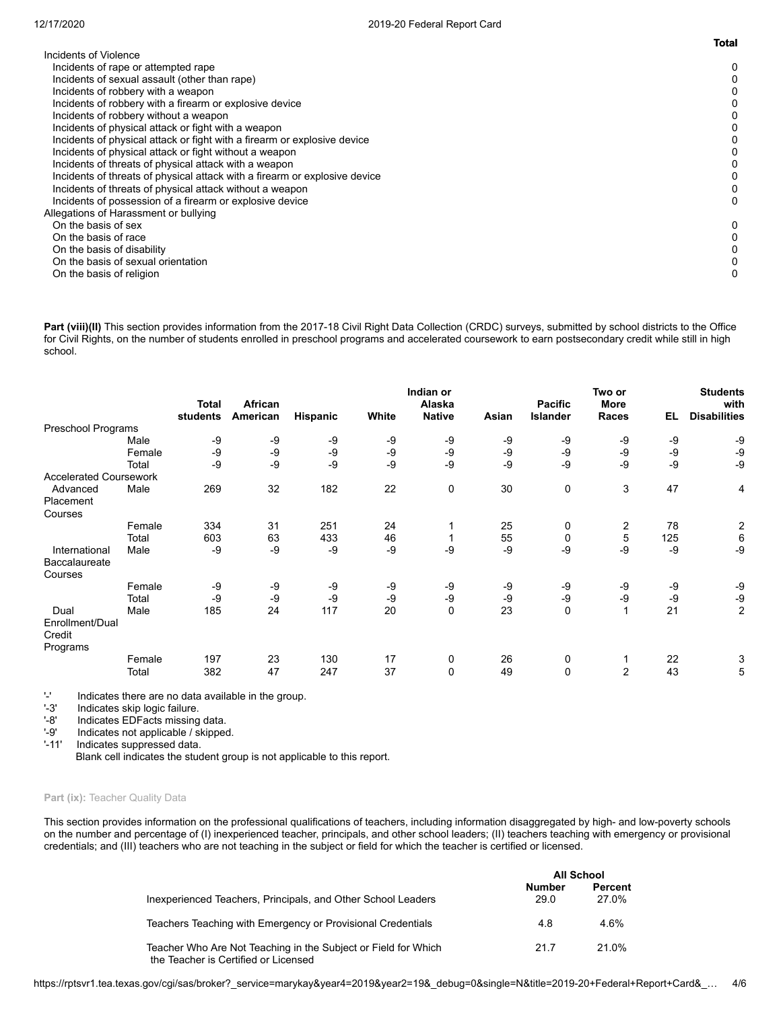|                                                                            | <b>Total</b> |
|----------------------------------------------------------------------------|--------------|
| Incidents of Violence                                                      |              |
| Incidents of rape or attempted rape                                        | 0            |
| Incidents of sexual assault (other than rape)                              |              |
| Incidents of robbery with a weapon                                         |              |
| Incidents of robbery with a firearm or explosive device                    |              |
| Incidents of robbery without a weapon                                      |              |
| Incidents of physical attack or fight with a weapon                        |              |
| Incidents of physical attack or fight with a firearm or explosive device   |              |
| Incidents of physical attack or fight without a weapon                     |              |
| Incidents of threats of physical attack with a weapon                      |              |
| Incidents of threats of physical attack with a firearm or explosive device |              |
| Incidents of threats of physical attack without a weapon                   |              |
| Incidents of possession of a firearm or explosive device                   |              |
| Allegations of Harassment or bullying                                      |              |
| On the basis of sex                                                        | 0            |
| On the basis of race                                                       |              |
| On the basis of disability                                                 |              |
| On the basis of sexual orientation                                         |              |
| On the basis of religion                                                   |              |

Part (viii)(II) This section provides information from the 2017-18 Civil Right Data Collection (CRDC) surveys, submitted by school districts to the Office for Civil Rights, on the number of students enrolled in preschool programs and accelerated coursework to earn postsecondary credit while still in high school.

|                                       |        | <b>Total</b><br>students | African<br>American | Hispanic | White | Indian or<br>Alaska<br><b>Native</b> | Asian | <b>Pacific</b><br>Islander | Two or<br>More<br>Races | EL   | <b>Students</b><br>with<br><b>Disabilities</b> |
|---------------------------------------|--------|--------------------------|---------------------|----------|-------|--------------------------------------|-------|----------------------------|-------------------------|------|------------------------------------------------|
| Preschool Programs                    |        |                          |                     |          |       |                                      |       |                            |                         |      |                                                |
|                                       | Male   | -9                       | -9                  | -9       | -9    | -9                                   | -9    | -9                         | -9                      | -9   | -9                                             |
|                                       | Female | -9                       | -9                  | -9       | -9    | -9                                   | $-9$  | -9                         | -9                      | $-9$ | -9                                             |
|                                       | Total  | -9                       | $-9$                | -9       | -9    | -9                                   | $-9$  | -9                         | -9                      | -9   | $-9$                                           |
| <b>Accelerated Coursework</b>         |        |                          |                     |          |       |                                      |       |                            |                         |      |                                                |
| Advanced                              | Male   | 269                      | 32                  | 182      | 22    | 0                                    | 30    | 0                          | 3                       | 47   | 4                                              |
| Placement                             |        |                          |                     |          |       |                                      |       |                            |                         |      |                                                |
| Courses                               |        |                          |                     |          |       |                                      |       |                            |                         |      |                                                |
|                                       | Female | 334                      | 31                  | 251      | 24    |                                      | 25    | 0                          | 2                       | 78   | $\overline{c}$                                 |
|                                       | Total  | 603                      | 63                  | 433      | 46    |                                      | 55    | 0                          | 5                       | 125  | 6                                              |
| International                         | Male   | -9                       | $-9$                | -9       | -9    | -9                                   | -9    | -9                         | -9                      | -9   | $-9$                                           |
| Baccalaureate                         |        |                          |                     |          |       |                                      |       |                            |                         |      |                                                |
| Courses                               |        |                          |                     |          |       |                                      |       |                            |                         |      |                                                |
|                                       | Female | -9                       | $-9$                | -9       | -9    | -9                                   | -9    | -9                         | -9                      | -9   | -9                                             |
|                                       | Total  | -9                       | $-9$                | -9       | -9    | -9                                   | -9    | -9                         | -9                      | -9   | -9                                             |
| Dual                                  | Male   | 185                      | 24                  | 117      | 20    | 0                                    | 23    | $\mathbf 0$                |                         | 21   | 2                                              |
| Enrollment/Dual<br>Credit<br>Programs |        |                          |                     |          |       |                                      |       |                            |                         |      |                                                |
|                                       | Female | 197                      | 23                  | 130      | 17    | $\mathbf 0$                          | 26    | 0                          |                         | 22   | 3                                              |
|                                       | Total  | 382                      | 47                  | 247      | 37    | $\mathbf 0$                          | 49    | 0                          | $\overline{2}$          | 43   | 5                                              |

'-' Indicates there are no data available in the group.<br>'-3' Indicates skip logic failure.

'-3' Indicates skip logic failure.<br>'-8' Indicates EDFacts missing

'-8' Indicates EDFacts missing data.<br>'-9' Indicates not applicable / skipped '-9' Indicates not applicable / skipped.<br>'-11' Indicates suppressed data.

Indicates suppressed data.

Blank cell indicates the student group is not applicable to this report.

# Part (ix): Teacher Quality Data

This section provides information on the professional qualifications of teachers, including information disaggregated by high- and low-poverty schools on the number and percentage of (I) inexperienced teacher, principals, and other school leaders; (II) teachers teaching with emergency or provisional credentials; and (III) teachers who are not teaching in the subject or field for which the teacher is certified or licensed.

|                                                                                                        |                | <b>All School</b>       |
|--------------------------------------------------------------------------------------------------------|----------------|-------------------------|
| Inexperienced Teachers, Principals, and Other School Leaders                                           | Number<br>29.0 | <b>Percent</b><br>27.0% |
| Teachers Teaching with Emergency or Provisional Credentials                                            | 4.8            | 4.6%                    |
| Teacher Who Are Not Teaching in the Subject or Field for Which<br>the Teacher is Certified or Licensed | 21.7           | 21.0%                   |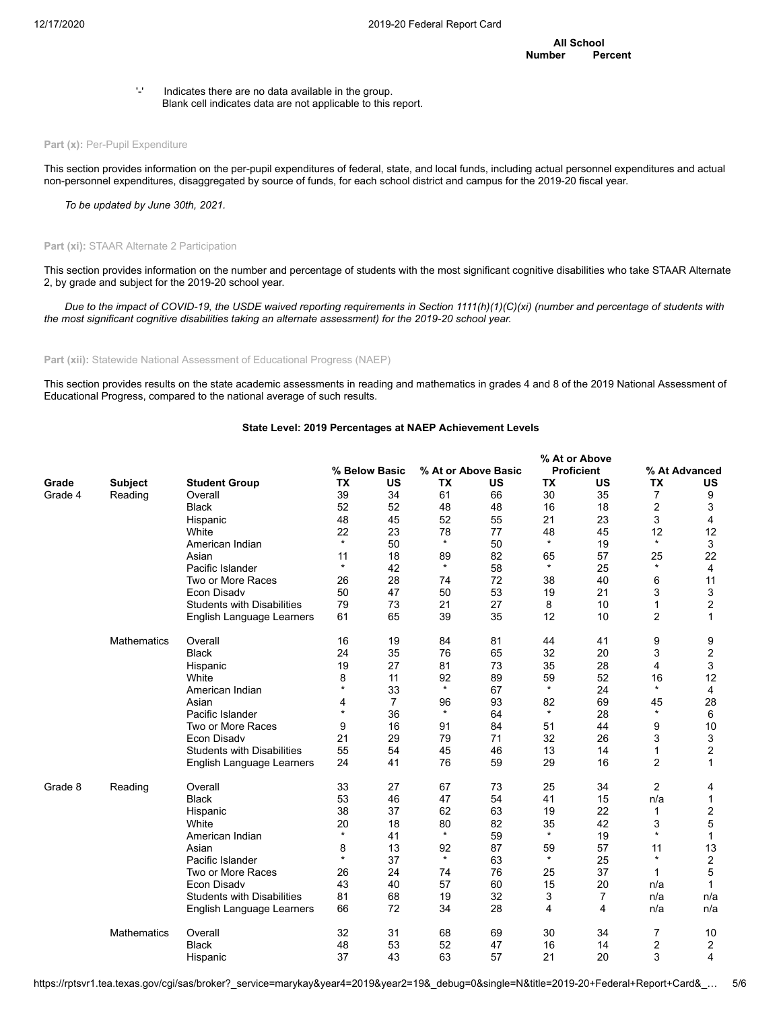'-' Indicates there are no data available in the group. Blank cell indicates data are not applicable to this report.

### Part (x): Per-Pupil Expenditure

This section provides information on the per-pupil expenditures of federal, state, and local funds, including actual personnel expenditures and actual non-personnel expenditures, disaggregated by source of funds, for each school district and campus for the 2019-20 fiscal year.

*To be updated by June 30th, 2021.*

# Part (xi): STAAR Alternate 2 Participation

This section provides information on the number and percentage of students with the most significant cognitive disabilities who take STAAR Alternate 2, by grade and subject for the 2019-20 school year.

*Due to the impact of COVID-19, the USDE waived reporting requirements in Section 1111(h)(1)(C)(xi) (number and percentage of students with the most significant cognitive disabilities taking an alternate assessment) for the 2019-20 school year.*

**Part (xii):** Statewide National Assessment of Educational Progress (NAEP)

This section provides results on the state academic assessments in reading and mathematics in grades 4 and 8 of the 2019 National Assessment of Educational Progress, compared to the national average of such results.

### **State Level: 2019 Percentages at NAEP Achievement Levels**

|         |                    |                                   |            |                |         |                     |           | % At or Above     |                |                |
|---------|--------------------|-----------------------------------|------------|----------------|---------|---------------------|-----------|-------------------|----------------|----------------|
|         |                    |                                   |            | % Below Basic  |         | % At or Above Basic |           | <b>Proficient</b> |                | % At Advanced  |
| Grade   | <b>Subject</b>     | <b>Student Group</b>              | TX         | US             | TX      | <b>US</b>           | <b>TX</b> | US                | <b>TX</b>      | US             |
| Grade 4 | Reading            | Overall                           | 39         | 34             | 61      | 66                  | 30        | 35                | $\overline{7}$ | 9              |
|         |                    | <b>Black</b>                      | 52         | 52             | 48      | 48                  | 16        | 18                | 2              | 3              |
|         |                    | Hispanic                          | 48         | 45             | 52      | 55                  | 21        | 23                | 3              | $\overline{4}$ |
|         |                    | White                             | 22         | 23             | 78      | 77                  | 48        | 45                | 12             | 12             |
|         |                    | American Indian                   | $\star$    | 50             | $\star$ | 50                  | $\star$   | 19                | $\star$        | 3              |
|         |                    | Asian                             | 11         | 18             | 89      | 82                  | 65        | 57                | 25             | 22             |
|         |                    | Pacific Islander                  | $\star$    | 42             | $\star$ | 58                  | $\star$   | 25                | $\star$        | 4              |
|         |                    | Two or More Races                 | 26         | 28             | 74      | 72                  | 38        | 40                | 6              | 11             |
|         |                    | Econ Disadv                       | 50         | 47             | 50      | 53                  | 19        | 21                | 3              | 3              |
|         |                    | <b>Students with Disabilities</b> | 79         | 73             | 21      | 27                  | 8         | 10                | 1              | $\overline{2}$ |
|         |                    | English Language Learners         | 61         | 65             | 39      | 35                  | 12        | 10                | $\overline{c}$ | 1              |
|         | <b>Mathematics</b> | Overall                           | 16         | 19             | 84      | 81                  | 44        | 41                | 9              | 9              |
|         |                    | <b>Black</b>                      | 24         | 35             | 76      | 65                  | 32        | 20                | 3              | 2              |
|         |                    | Hispanic                          | 19         | 27             | 81      | 73                  | 35        | 28                | 4              | 3              |
|         |                    | White                             | 8          | 11             | 92      | 89                  | 59        | 52                | 16             | 12             |
|         |                    | American Indian                   | $\star$    | 33             | $\star$ | 67                  | $\star$   | 24                | $\star$        | 4              |
|         |                    | Asian                             | 4          | $\overline{7}$ | 96      | 93                  | 82        | 69                | 45             | 28             |
|         |                    | Pacific Islander                  | $\star$    | 36             | $\star$ | 64                  | $\star$   | 28                | $\star$        | 6              |
|         |                    | Two or More Races                 | 9          | 16             | 91      | 84                  | 51        | 44                | 9              | 10             |
|         |                    | <b>Econ Disadv</b>                | 21         | 29             | 79      | 71                  | 32        | 26                | 3              | 3              |
|         |                    | <b>Students with Disabilities</b> | 55         | 54             | 45      | 46                  | 13        | 14                | 1              | $\overline{2}$ |
|         |                    | English Language Learners         | 24         | 41             | 76      | 59                  | 29        | 16                | $\overline{2}$ | $\mathbf{1}$   |
| Grade 8 | Reading            | Overall                           | 33         | 27             | 67      | 73                  | 25        | 34                | 2              | 4              |
|         |                    | <b>Black</b>                      | 53         | 46             | 47      | 54                  | 41        | 15                | n/a            | 1              |
|         |                    | Hispanic                          | 38         | 37             | 62      | 63                  | 19        | 22                | 1              | $\overline{2}$ |
|         |                    | White                             | 20         | 18             | 80      | 82                  | 35        | 42                | 3              | 5              |
|         |                    | American Indian                   | $^{\star}$ | 41             | $\star$ | 59                  | $\star$   | 19                | $\star$        | 1              |
|         |                    | Asian                             | 8          | 13             | 92      | 87                  | 59        | 57                | 11             | 13             |
|         |                    | Pacific Islander                  | $\star$    | 37             | $\star$ | 63                  | $\star$   | 25                | $\star$        | $\overline{2}$ |
|         |                    | Two or More Races                 | 26         | 24             | 74      | 76                  | 25        | 37                | 1              | 5              |
|         |                    | <b>Econ Disadv</b>                | 43         | 40             | 57      | 60                  | 15        | 20                | n/a            | 1              |
|         |                    | <b>Students with Disabilities</b> | 81         | 68             | 19      | 32                  | 3         | 7                 | n/a            | n/a            |
|         |                    | English Language Learners         | 66         | 72             | 34      | 28                  | 4         | 4                 | n/a            | n/a            |
|         | <b>Mathematics</b> | Overall                           | 32         | 31             | 68      | 69                  | 30        | 34                | 7              | 10             |
|         |                    | <b>Black</b>                      | 48         | 53             | 52      | 47                  | 16        | 14                | 2              | 2              |
|         |                    | Hispanic                          | 37         | 43             | 63      | 57                  | 21        | 20                | 3              | $\overline{4}$ |